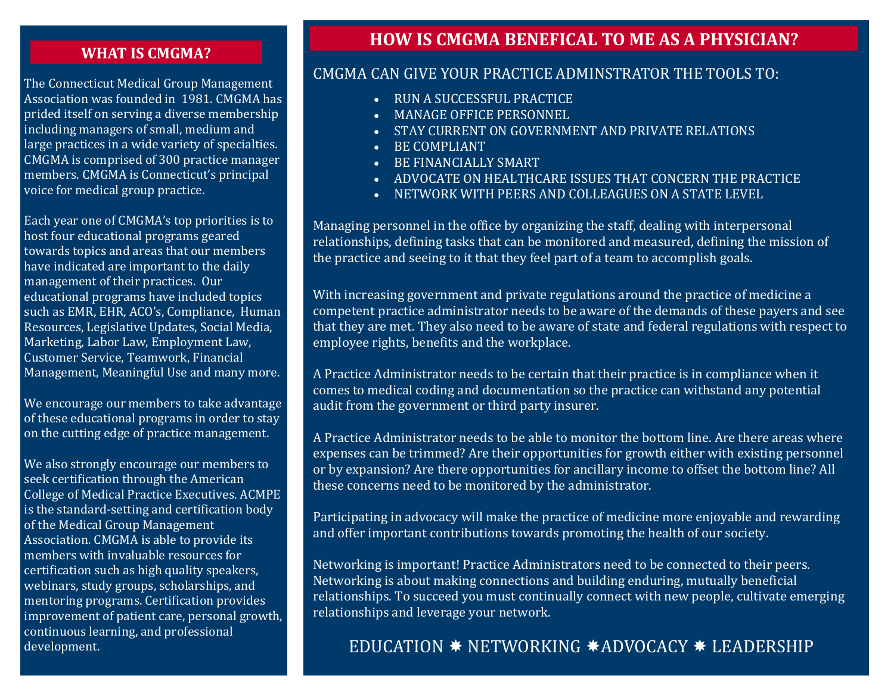#### **WHAT IS CMGMA?**

The Connecticut Medical Group Management Association was founded in 1981. CMGMA has prided itself on serving a diverse membership including managers of small, medium and large practices in a wide variety of specialties. CMGMA is comprised of 300 practice manager members. CMGMA is Connecticut's principal voice for medical group practice.

Each year one of CMGMA's top priorities is to host four educational programs geared towards topics and areas that our members have indicated are important to the daily management of their practices. Our educational programs have included topics such as EMR, EHR, ACO's, Compliance, Human Resources, Legislative Updates, Social Media, Marketing, Labor Law, Employment Law, Customer Service, Teamwork, Financial Management, Meaningful Use and many more.

We encourage our members to take advantage of these educational programs in order to stay on the cutting edge of practice management.

We also strongly encourage our members to seek certification through the American College of Medical Practice Executives. ACMPE is the standard-setting and certification body of the Medical Group Management Association. CMGMA is able to provide its members with invaluable resources for certification such as high quality speakers, webinars, study groups, scholarships, and mentoring programs. Certification provides improvement of patient care, personal growth, continuous learning, and professional development.

# **HOW IS CMGMA BENEFICAL TO ME AS A PHYSICIAN?**

## CMGMA CAN GIVE YOUR PRACTICE ADMINSTRATOR THE TOOLS TO:

- RUN A SUCCESSFUL PRACTICE
- MANAGE OFFICE PERSONNEL
- STAY CURRENT ON GOVERNMENT AND PRIVATE RELATIONS
- BE COMPLIANT
- BE FINANCIALLY SMART
- ADVOCATE ON HEALTHCARE ISSUES THAT CONCERN THE PRACTICE
- NETWORK WITH PEERS AND COLLEAGUES ON A STATE LEVEL

Managing personnel in the office by organizing the staff, dealing with interpersonal relationships, defining tasks that can be monitored and measured, defining the mission of the practice and seeing to it that they feel part of a team to accomplish goals.

With increasing government and private regulations around the practice of medicine a competent practice administrator needs to be aware of the demands of these payers and see that they are met. They also need to be aware of state and federal regulations with respect to employee rights, benefits and the workplace.

A Practice Administrator needs to be certain that their practice is in compliance when it comes to medical coding and documentation so the practice can withstand any potential audit from the government or third party insurer.

A Practice Administrator needs to be able to monitor the bottom line. Are there areas where expenses can be trimmed? Are their opportunities for growth either with existing personnel or by expansion? Are there opportunities for ancillary income to offset the bottom line? All these concerns need to be monitored by the administrator.

Participating in advocacy will make the practice of medicine more enjoyable and rewarding and offer important contributions towards promoting the health of our society.

Networking is important! Practice Administrators need to be connected to their peers. Networking is about making connections and building enduring, mutually beneficial relationships. To succeed you must continually connect with new people, cultivate emerging relationships and leverage your network.

# EDUCATION  $*$  NETWORKING  $*$ ADVOCACY  $*$  LEADERSHIP